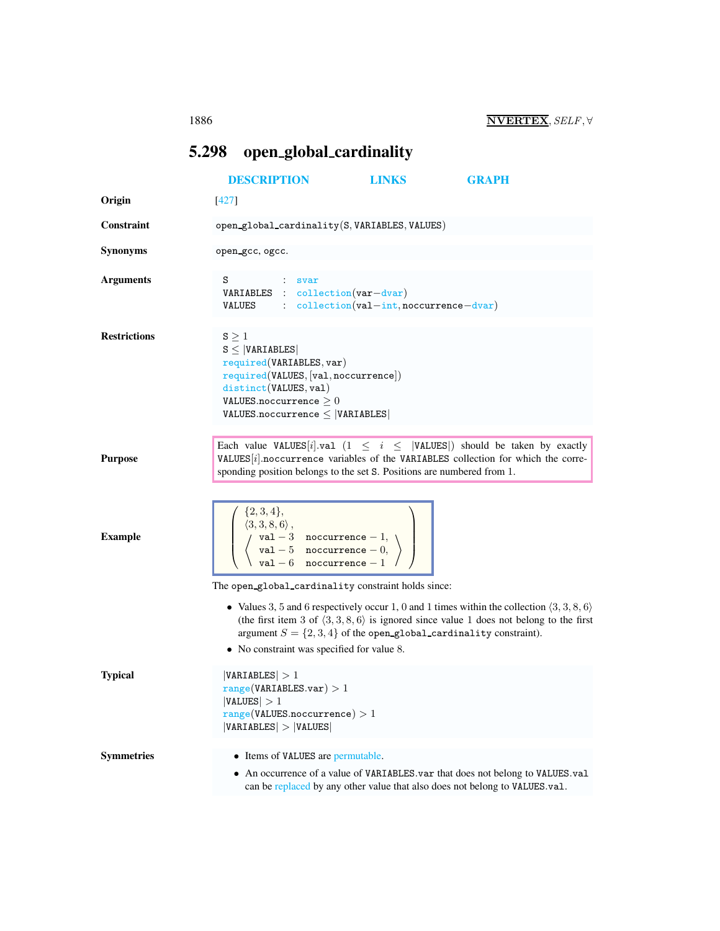## <span id="page-0-0"></span>5.298 open global cardinality

|                     | <b>DESCRIPTION</b>                                                                                                                                                                                                      | <b>LINKS</b>                                                           | <b>GRAPH</b>                                                                                                                                                                                                       |
|---------------------|-------------------------------------------------------------------------------------------------------------------------------------------------------------------------------------------------------------------------|------------------------------------------------------------------------|--------------------------------------------------------------------------------------------------------------------------------------------------------------------------------------------------------------------|
| Origin              | [427]                                                                                                                                                                                                                   |                                                                        |                                                                                                                                                                                                                    |
| <b>Constraint</b>   | open_global_cardinality(S, VARIABLES, VALUES)                                                                                                                                                                           |                                                                        |                                                                                                                                                                                                                    |
| <b>Synonyms</b>     | open gcc, ogcc.                                                                                                                                                                                                         |                                                                        |                                                                                                                                                                                                                    |
| <b>Arguments</b>    | s<br>$\therefore$ svar<br>VARIABLES : collection (var-dvar)<br>VALUES : $\text{collection}(val-int,nocurrence-dvar)$                                                                                                    |                                                                        |                                                                                                                                                                                                                    |
| <b>Restrictions</b> | $S \geq 1$<br>$S \leq  VARIABLES $<br>required(VARIABLES, var)<br>required(VALUES, [val,nocurrence])<br>distinct(VALUES, val)<br>VALUES.noccurrence $\geq 0$<br>$VALUES.noccurrence \leq  VARIABLES $                   |                                                                        |                                                                                                                                                                                                                    |
| <b>Purpose</b>      | sponding position belongs to the set S. Positions are numbered from 1.                                                                                                                                                  |                                                                        | Each value VALUES [i] val $(1 \le i \le  VALUES )$ should be taken by exactly<br>VALUES $[i]$ noccurrence variables of the VARIABLES collection for which the corre-                                               |
| <b>Example</b>      | $\left(\begin{array}{c} \{2,3,4\},\\ \langle 3,3,8,6\rangle,\\ \langle \text{val}-3\;\; \text{nocurrence}-1,\\ \langle \text{val}-5\;\; \text{nocurrence}-0,\\ \text{val}-6\;\; \text{nocurrence}-1 \end{array}\right)$ |                                                                        |                                                                                                                                                                                                                    |
|                     | The open_global_cardinality constraint holds since:                                                                                                                                                                     |                                                                        |                                                                                                                                                                                                                    |
|                     | • No constraint was specified for value 8.                                                                                                                                                                              | argument $S = \{2, 3, 4\}$ of the open-global-cardinality constraint). | • Values 3, 5 and 6 respectively occur 1, 0 and 1 times within the collection $\langle 3, 3, 8, 6 \rangle$<br>(the first item 3 of $\langle 3,3,8,6 \rangle$ is ignored since value 1 does not belong to the first |
| <b>Typical</b>      | VARIABLES  > 1<br>range(VARIABLES.var) > 1<br>$ \mathtt{VALUES} >1$<br>range(VALUES.noccurrence) > 1<br> VARIABLES  >  VALUES                                                                                           |                                                                        |                                                                                                                                                                                                                    |
| <b>Symmetries</b>   | • Items of VALUES are permutable.                                                                                                                                                                                       |                                                                        |                                                                                                                                                                                                                    |
|                     |                                                                                                                                                                                                                         |                                                                        | • An occurrence of a value of VARIABLES.var that does not belong to VALUES.val<br>can be replaced by any other value that also does not belong to VALUES.val.                                                      |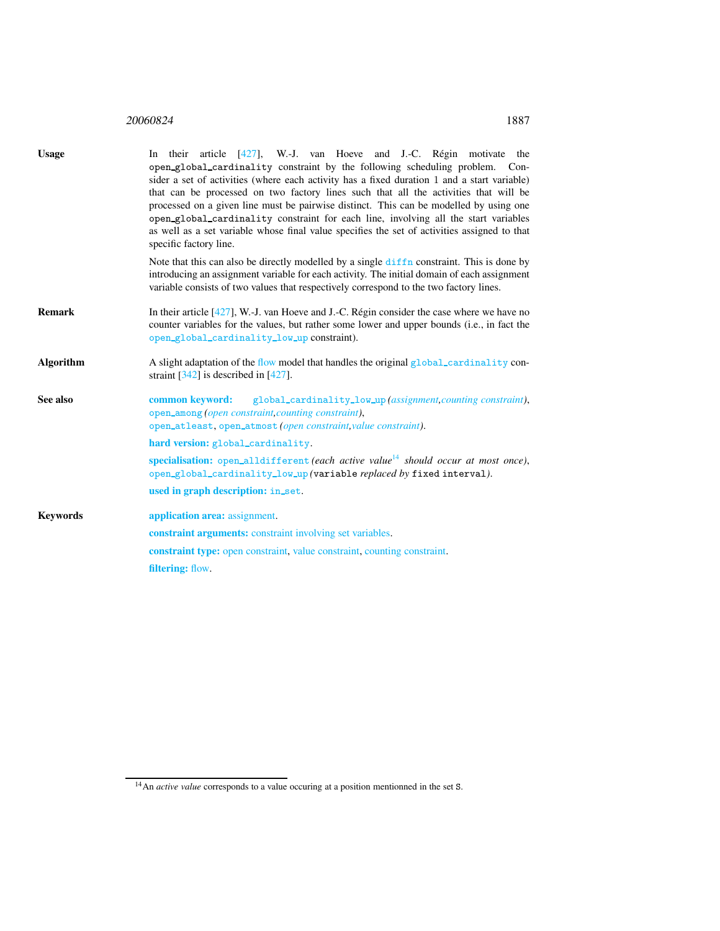## <sup>20060824</sup> 1887

<span id="page-1-0"></span>

| <b>Usage</b>     | In their article [427], W.-J. van Hoeve and J.-C. Régin motivate the<br>open_global_cardinality constraint by the following scheduling problem. Con-<br>sider a set of activities (where each activity has a fixed duration 1 and a start variable)<br>that can be processed on two factory lines such that all the activities that will be<br>processed on a given line must be pairwise distinct. This can be modelled by using one<br>open_global_cardinality constraint for each line, involving all the start variables<br>as well as a set variable whose final value specifies the set of activities assigned to that<br>specific factory line. |
|------------------|--------------------------------------------------------------------------------------------------------------------------------------------------------------------------------------------------------------------------------------------------------------------------------------------------------------------------------------------------------------------------------------------------------------------------------------------------------------------------------------------------------------------------------------------------------------------------------------------------------------------------------------------------------|
|                  | Note that this can also be directly modelled by a single diffn constraint. This is done by<br>introducing an assignment variable for each activity. The initial domain of each assignment<br>variable consists of two values that respectively correspond to the two factory lines.                                                                                                                                                                                                                                                                                                                                                                    |
| <b>Remark</b>    | In their article $[427]$ , W.-J. van Hoeve and J.-C. Régin consider the case where we have no<br>counter variables for the values, but rather some lower and upper bounds (i.e., in fact the<br>open_global_cardinality_low_up constraint).                                                                                                                                                                                                                                                                                                                                                                                                            |
| <b>Algorithm</b> | A slight adaptation of the flow model that handles the original global_cardinality con-<br>straint $[342]$ is described in [427].                                                                                                                                                                                                                                                                                                                                                                                                                                                                                                                      |
| See also         | common keyword:<br>global_cardinality_low_up(assignment, counting constraint),<br>open_among (open constraint, counting constraint),<br>open_atleast, open_atmost (open constraint, value constraint).<br>hard version: global_cardinality.                                                                                                                                                                                                                                                                                                                                                                                                            |
|                  | specialisation: open_alldifferent (each active value <sup>14</sup> should occur at most once),<br>open_global_cardinality_low_up(variable replaced by fixed interval).                                                                                                                                                                                                                                                                                                                                                                                                                                                                                 |
|                  | used in graph description: in_set.                                                                                                                                                                                                                                                                                                                                                                                                                                                                                                                                                                                                                     |
| <b>Keywords</b>  | application area: assignment.                                                                                                                                                                                                                                                                                                                                                                                                                                                                                                                                                                                                                          |
|                  | <b>constraint arguments:</b> constraint involving set variables.                                                                                                                                                                                                                                                                                                                                                                                                                                                                                                                                                                                       |
|                  | <b>constraint type:</b> open constraint, value constraint, counting constraint.                                                                                                                                                                                                                                                                                                                                                                                                                                                                                                                                                                        |
|                  | filtering: flow.                                                                                                                                                                                                                                                                                                                                                                                                                                                                                                                                                                                                                                       |

<span id="page-1-1"></span><sup>&</sup>lt;sup>14</sup>An *active value* corresponds to a value occuring at a position mentionned in the set S.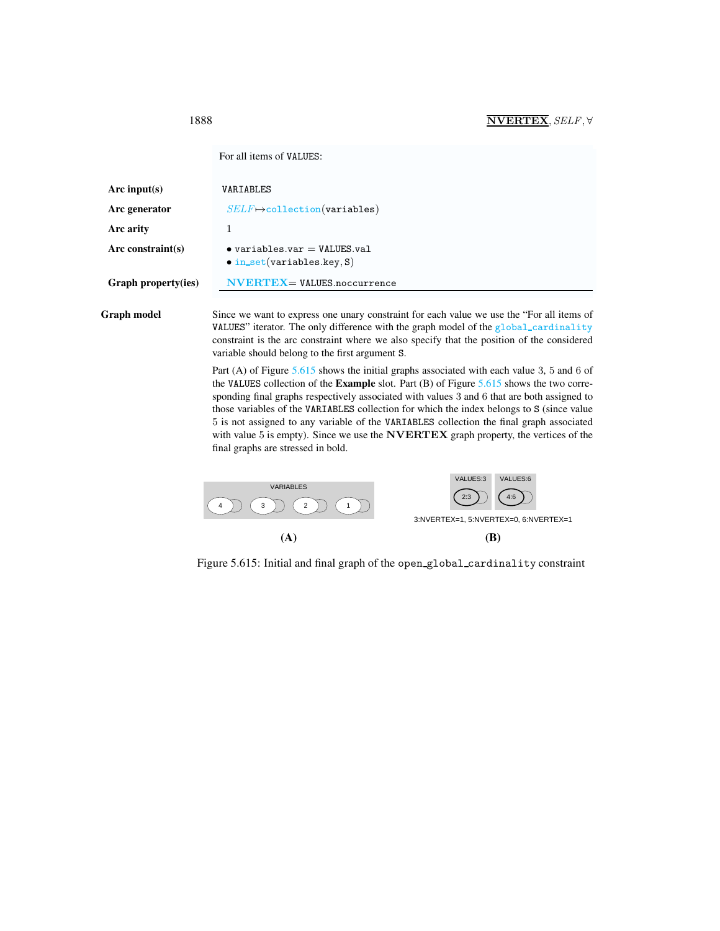<span id="page-2-0"></span>For all items of VALUES:

| Arc input(s)        | VARIABLES                                                                                                                                                        |
|---------------------|------------------------------------------------------------------------------------------------------------------------------------------------------------------|
| Arc generator       | $SELF \mapsto$ collection(variables)                                                                                                                             |
| <b>Arc arity</b>    |                                                                                                                                                                  |
| Arc constraint(s)   | $\bullet$ variables.var = VALUES.val<br>$\bullet$ in_set(variables.key, S)                                                                                       |
| Graph property(ies) | $\mathbf{N} \mathbf{V} \mathbf{E} \mathbf{R} \mathbf{T} \mathbf{E} \mathbf{X} = \mathbf{V} \mathbf{A} \mathbf{L} \mathbf{U} \mathbf{E} \mathbf{S}$ . noccurrence |
|                     |                                                                                                                                                                  |

Graph model Since we want to express one unary constraint for each value we use the "For all items of VALUES" iterator. The only difference with the graph model of the global\_cardinality constraint is the arc constraint where we also specify that the position of the considered variable should belong to the first argument S.

> Part (A) of Figure [5.615](#page-2-1) shows the initial graphs associated with each value 3, 5 and 6 of the VALUES collection of the Example slot. Part (B) of Figure [5.615](#page-2-1) shows the two corresponding final graphs respectively associated with values 3 and 6 that are both assigned to those variables of the VARIABLES collection for which the index belongs to S (since value 5 is not assigned to any variable of the VARIABLES collection the final graph associated with value 5 is empty). Since we use the NVERTEX graph property, the vertices of the final graphs are stressed in bold.



<span id="page-2-1"></span>Figure 5.615: Initial and final graph of the open global cardinality constraint